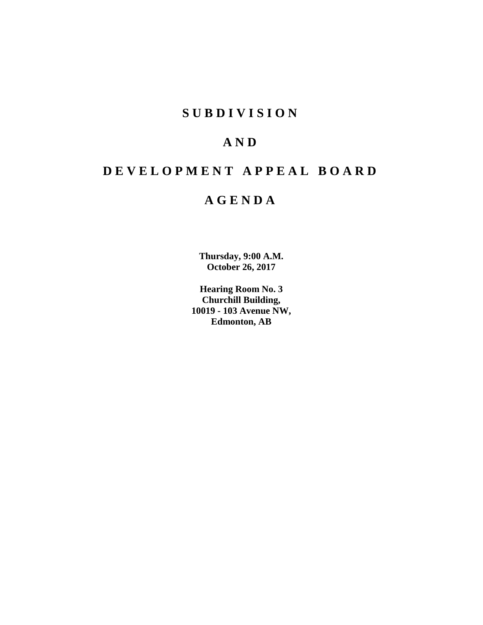# **S U B D I V I S I O N**

# **A N D**

# **D E V E L O P M E N T A P P E A L B O A R D**

# **A G E N D A**

**Thursday, 9:00 A.M. October 26, 2017**

**Hearing Room No. 3 Churchill Building, 10019 - 103 Avenue NW, Edmonton, AB**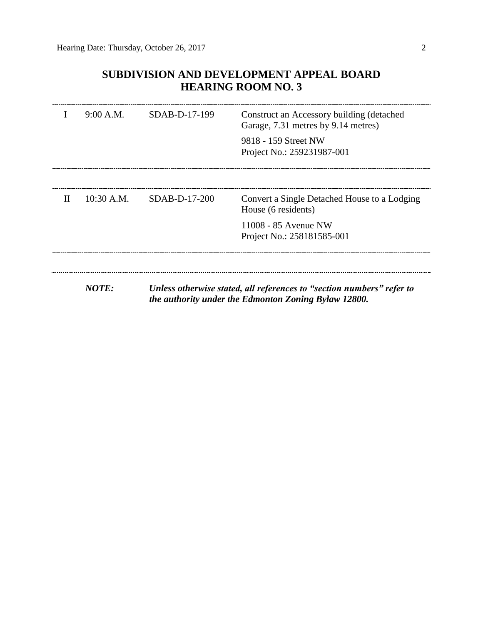## **SUBDIVISION AND DEVELOPMENT APPEAL BOARD HEARING ROOM NO. 3**

|              | 9:00 A.M.    | $SDAB-D-17-199$ | Construct an Accessory building (detached<br>Garage, 7.31 metres by 9.14 metres)<br>9818 - 159 Street NW<br>Project No.: 259231987-001 |
|--------------|--------------|-----------------|----------------------------------------------------------------------------------------------------------------------------------------|
| $\mathbf{H}$ | $10:30$ A.M. | $SDAB-D-17-200$ | Convert a Single Detached House to a Lodging<br>House (6 residents)<br>11008 - 85 Avenue NW<br>Project No.: 258181585-001              |
|              | <b>NOTE:</b> |                 | Unless otherwise stated, all references to "section numbers" refer to<br>the authority under the Edmonton Zoning Bylaw 12800.          |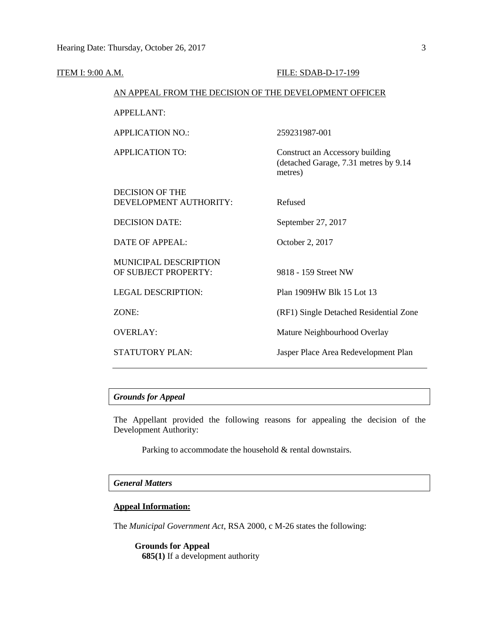| ITEM I: 9:00 A.M. |                                                        | FILE: SDAB-D-17-199                                                                 |
|-------------------|--------------------------------------------------------|-------------------------------------------------------------------------------------|
|                   | AN APPEAL FROM THE DECISION OF THE DEVELOPMENT OFFICER |                                                                                     |
|                   | <b>APPELLANT:</b>                                      |                                                                                     |
|                   | <b>APPLICATION NO.:</b>                                | 259231987-001                                                                       |
|                   | <b>APPLICATION TO:</b>                                 | Construct an Accessory building<br>(detached Garage, 7.31 metres by 9.14<br>metres) |
|                   | <b>DECISION OF THE</b><br>DEVELOPMENT AUTHORITY:       | Refused                                                                             |
|                   | <b>DECISION DATE:</b>                                  | September 27, 2017                                                                  |
|                   | <b>DATE OF APPEAL:</b>                                 | October 2, 2017                                                                     |
|                   | <b>MUNICIPAL DESCRIPTION</b><br>OF SUBJECT PROPERTY:   | 9818 - 159 Street NW                                                                |
|                   | <b>LEGAL DESCRIPTION:</b>                              | Plan 1909HW Blk 15 Lot 13                                                           |
|                   | ZONE:                                                  | (RF1) Single Detached Residential Zone                                              |
|                   | <b>OVERLAY:</b>                                        | Mature Neighbourhood Overlay                                                        |
|                   | <b>STATUTORY PLAN:</b>                                 | Jasper Place Area Redevelopment Plan                                                |

## *Grounds for Appeal*

The Appellant provided the following reasons for appealing the decision of the Development Authority:

Parking to accommodate the household & rental downstairs.

### *General Matters*

## **Appeal Information:**

The *Municipal Government Act*, RSA 2000, c M-26 states the following:

**Grounds for Appeal 685(1)** If a development authority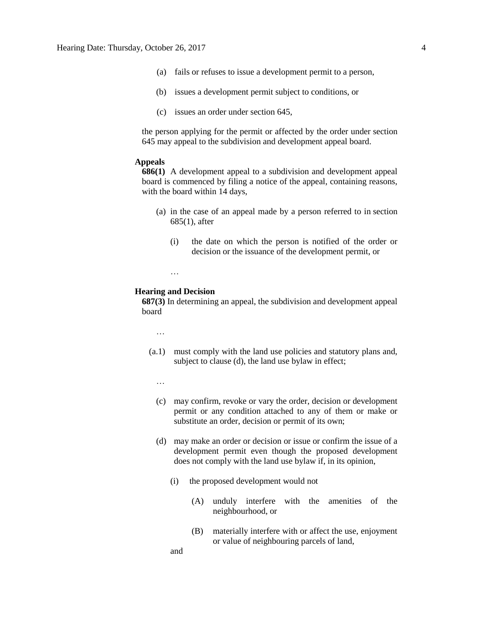- (a) fails or refuses to issue a development permit to a person,
- (b) issues a development permit subject to conditions, or
- (c) issues an order under section 645,

the person applying for the permit or affected by the order under section 645 may appeal to the subdivision and development appeal board.

### **Appeals**

**686(1)** A development appeal to a subdivision and development appeal board is commenced by filing a notice of the appeal, containing reasons, with the board within 14 days,

- (a) in the case of an appeal made by a person referred to in section 685(1), after
	- (i) the date on which the person is notified of the order or decision or the issuance of the development permit, or

### **Hearing and Decision**

…

**687(3)** In determining an appeal, the subdivision and development appeal board

- …
- (a.1) must comply with the land use policies and statutory plans and, subject to clause (d), the land use bylaw in effect;
	- …
	- (c) may confirm, revoke or vary the order, decision or development permit or any condition attached to any of them or make or substitute an order, decision or permit of its own;
	- (d) may make an order or decision or issue or confirm the issue of a development permit even though the proposed development does not comply with the land use bylaw if, in its opinion,
		- (i) the proposed development would not
			- (A) unduly interfere with the amenities of the neighbourhood, or
			- (B) materially interfere with or affect the use, enjoyment or value of neighbouring parcels of land,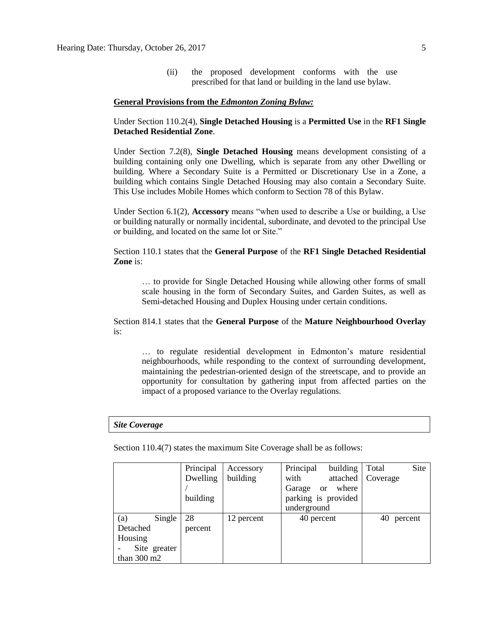(ii) the proposed development conforms with the use prescribed for that land or building in the land use bylaw.

### **General Provisions from the** *Edmonton Zoning Bylaw:*

Under Section 110.2(4), **Single Detached Housing** is a **Permitted Use** in the **RF1 Single Detached Residential Zone**.

Under Section 7.2(8), **Single Detached Housing** means development consisting of a building containing only one Dwelling, which is separate from any other Dwelling or building. Where a Secondary Suite is a Permitted or Discretionary Use in a Zone, a building which contains Single Detached Housing may also contain a Secondary Suite. This Use includes Mobile Homes which conform to Section 78 of this Bylaw.

Under Section 6.1(2), **Accessory** means "when used to describe a Use or building, a Use or building naturally or normally incidental, subordinate, and devoted to the principal Use or building, and located on the same lot or Site."

Section 110.1 states that the **General Purpose** of the **RF1 Single Detached Residential Zone** is:

… to provide for Single Detached Housing while allowing other forms of small scale housing in the form of Secondary Suites, and Garden Suites, as well as Semi-detached Housing and Duplex Housing under certain conditions.

Section 814.1 states that the **General Purpose** of the **Mature Neighbourhood Overlay** is:

… to regulate residential development in Edmonton's mature residential neighbourhoods, while responding to the context of surrounding development, maintaining the pedestrian-oriented design of the streetscape, and to provide an opportunity for consultation by gathering input from affected parties on the impact of a proposed variance to the Overlay regulations.

#### *Site Coverage*

Section 110.4(7) states the maximum Site Coverage shall be as follows:

|                       | Principal | Accessory  | Principal<br>building            | Site<br>Total |
|-----------------------|-----------|------------|----------------------------------|---------------|
|                       | Dwelling  | building   | with<br>attached                 | Coverage      |
|                       |           |            | where<br>Garage<br><sub>or</sub> |               |
|                       | building  |            | parking is provided              |               |
|                       |           |            | underground                      |               |
| Single<br>(a)         | 28        | 12 percent | 40 percent                       | 40<br>percent |
| Detached              | percent   |            |                                  |               |
| Housing               |           |            |                                  |               |
| Site greater          |           |            |                                  |               |
| than $300 \text{ m2}$ |           |            |                                  |               |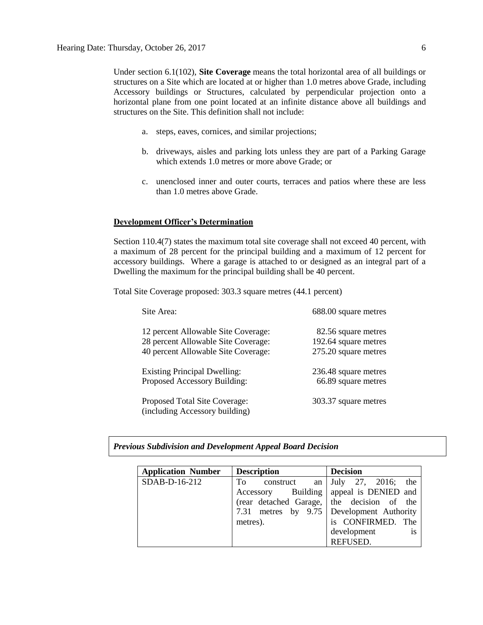Under section 6.1(102), **Site Coverage** means the total horizontal area of all buildings or structures on a Site which are located at or higher than 1.0 metres above Grade, including Accessory buildings or Structures, calculated by perpendicular projection onto a horizontal plane from one point located at an infinite distance above all buildings and structures on the Site. This definition shall not include:

- a. steps, eaves, cornices, and similar projections;
- b. driveways, aisles and parking lots unless they are part of a Parking Garage which extends [1.0](javascript:void(0);) metres or more above Grade; or
- c. unenclosed inner and outer courts, terraces and patios where these are less than [1.0](javascript:void(0);) metres above Grade.

### **Development Officer's Determination**

Section 110.4(7) states the maximum total site coverage shall not exceed 40 percent, with a maximum of 28 percent for the principal building and a maximum of 12 percent for accessory buildings. Where a garage is attached to or designed as an integral part of a Dwelling the maximum for the principal building shall be 40 percent.

Total Site Coverage proposed: 303.3 square metres (44.1 percent)

| Site Area:                                                                 | 688.00 square metres                        |
|----------------------------------------------------------------------------|---------------------------------------------|
| 12 percent Allowable Site Coverage:<br>28 percent Allowable Site Coverage: | 82.56 square metres<br>192.64 square metres |
| 40 percent Allowable Site Coverage:                                        | 275.20 square metres                        |
| <b>Existing Principal Dwelling:</b><br>Proposed Accessory Building:        | 236.48 square metres<br>66.89 square metres |
| Proposed Total Site Coverage:<br>(including Accessory building)            | 303.37 square metres                        |

*Previous Subdivision and Development Appeal Board Decision*

| <b>Application Number</b> | <b>Description</b> | <b>Decision</b>                            |
|---------------------------|--------------------|--------------------------------------------|
| SDAB-D-16-212             | To construct<br>an | the<br>$July$ 27, 2016;                    |
|                           |                    | Accessory Building   appeal is DENIED and  |
|                           |                    | (rear detached Garage, the decision of the |
|                           |                    | 7.31 metres by 9.75 Development Authority  |
|                           | metres).           | is CONFIRMED. The                          |
|                           |                    | is<br>development                          |
|                           |                    | REFUSED.                                   |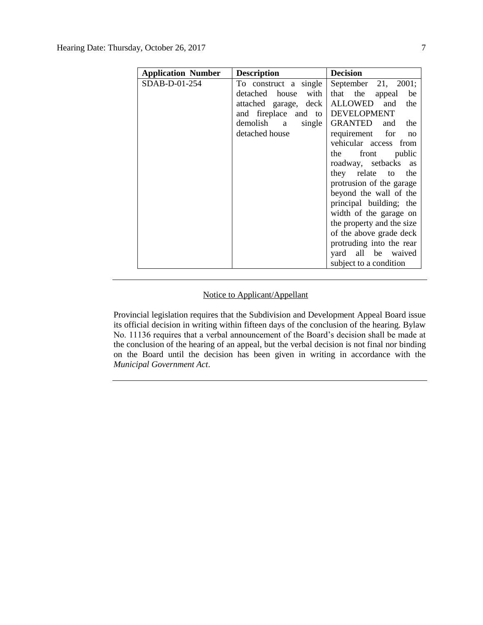| <b>Application Number</b> | <b>Description</b>               | <b>Decision</b>                 |
|---------------------------|----------------------------------|---------------------------------|
| SDAB-D-01-254             | To construct a single            | September 21, 2001;             |
|                           | with<br>detached house           | that the<br>appeal be           |
|                           | attached garage, deck            | ALLOWED and<br>the              |
|                           | and fireplace and to DEVELOPMENT |                                 |
|                           | demolish a<br>single             | GRANTED<br>and the              |
|                           | detached house                   | requirement for<br>$\mathbf{n}$ |
|                           |                                  | vehicular access from           |
|                           |                                  | the front public                |
|                           |                                  | roadway, setbacks as            |
|                           |                                  | they relate to the              |
|                           |                                  | protrusion of the garage        |
|                           |                                  | beyond the wall of the          |
|                           |                                  | principal building; the         |
|                           |                                  | width of the garage on          |
|                           |                                  | the property and the size       |
|                           |                                  | of the above grade deck         |
|                           |                                  | protruding into the rear        |
|                           |                                  | yard all be waived              |
|                           |                                  | subject to a condition          |

## Notice to Applicant/Appellant

Provincial legislation requires that the Subdivision and Development Appeal Board issue its official decision in writing within fifteen days of the conclusion of the hearing. Bylaw No. 11136 requires that a verbal announcement of the Board's decision shall be made at the conclusion of the hearing of an appeal, but the verbal decision is not final nor binding on the Board until the decision has been given in writing in accordance with the *Municipal Government Act*.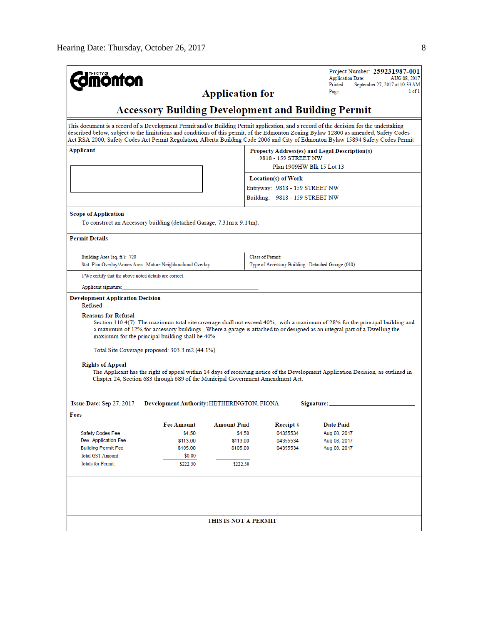| <b>mönton</b>                                                                                                                         |                                            |                        |                                                   | Project Number: 259231987-001<br><b>Application Date:</b><br>Printed:<br>September 27, 2017 at 10:33 AM<br>Page:                                                                                                                                                                                                                                                                                                      | AUG 08, 2017<br>1 of 1 |  |  |
|---------------------------------------------------------------------------------------------------------------------------------------|--------------------------------------------|------------------------|---------------------------------------------------|-----------------------------------------------------------------------------------------------------------------------------------------------------------------------------------------------------------------------------------------------------------------------------------------------------------------------------------------------------------------------------------------------------------------------|------------------------|--|--|
|                                                                                                                                       |                                            | <b>Application for</b> |                                                   |                                                                                                                                                                                                                                                                                                                                                                                                                       |                        |  |  |
| <b>Accessory Building Development and Building Permit</b>                                                                             |                                            |                        |                                                   |                                                                                                                                                                                                                                                                                                                                                                                                                       |                        |  |  |
|                                                                                                                                       |                                            |                        |                                                   | This document is a record of a Development Permit and/or Building Permit application, and a record of the decision for the undertaking<br>described below, subject to the limitations and conditions of this permit, of the Edmonton Zoning Bylaw 12800 as amended, Safety Codes<br>Act RSA 2000, Safety Codes Act Permit Regulation, Alberta Building Code 2006 and City of Edmonton Bylaw 15894 Safety Codes Permit |                        |  |  |
| Applicant<br>Property Address(es) and Legal Description(s)<br>9818 - 159 STREET NW<br>Plan 1909HW Blk 15 Lot 13                       |                                            |                        |                                                   |                                                                                                                                                                                                                                                                                                                                                                                                                       |                        |  |  |
|                                                                                                                                       |                                            |                        | Location(s) of Work                               |                                                                                                                                                                                                                                                                                                                                                                                                                       |                        |  |  |
|                                                                                                                                       |                                            |                        | Entryway: 9818 - 159 STREET NW                    |                                                                                                                                                                                                                                                                                                                                                                                                                       |                        |  |  |
|                                                                                                                                       |                                            |                        |                                                   | Building: 9818 - 159 STREET NW                                                                                                                                                                                                                                                                                                                                                                                        |                        |  |  |
| <b>Scope of Application</b><br>To construct an Accessory building (detached Garage, 7.31m x 9.14m).                                   |                                            |                        |                                                   |                                                                                                                                                                                                                                                                                                                                                                                                                       |                        |  |  |
| <b>Permit Details</b>                                                                                                                 |                                            |                        |                                                   |                                                                                                                                                                                                                                                                                                                                                                                                                       |                        |  |  |
| Building Area (sq. ft.): 720                                                                                                          |                                            |                        | <b>Class of Permit:</b>                           |                                                                                                                                                                                                                                                                                                                                                                                                                       |                        |  |  |
| Stat. Plan Overlay/Annex Area: Mature Neighbourhood Overlay                                                                           |                                            |                        | Type of Accessory Building: Detached Garage (010) |                                                                                                                                                                                                                                                                                                                                                                                                                       |                        |  |  |
| I/We certify that the above noted details are correct.                                                                                |                                            |                        |                                                   |                                                                                                                                                                                                                                                                                                                                                                                                                       |                        |  |  |
| Applicant signature:                                                                                                                  |                                            |                        |                                                   |                                                                                                                                                                                                                                                                                                                                                                                                                       |                        |  |  |
| <b>Development Application Decision</b><br>Refused<br><b>Reasons for Refusal</b><br>maximum for the principal building shall be 40%.  |                                            |                        |                                                   | Section 110.4(7) The maximum total site coverage shall not exceed 40%, with a maximum of 28% for the principal building and<br>a maximum of 12% for accessory buildings. Where a garage is attached to or designed as an integral part of a Dwelling the                                                                                                                                                              |                        |  |  |
| Total Site Coverage proposed: 303.3 m2 (44.1%)                                                                                        |                                            |                        |                                                   |                                                                                                                                                                                                                                                                                                                                                                                                                       |                        |  |  |
| <b>Rights of Appeal</b><br>Chapter 24, Section 683 through 689 of the Municipal Government Amendment Act.<br>Issue Date: Sep 27, 2017 | Development Authority: HETHERINGTON, FIONA |                        |                                                   | The Applicant has the right of appeal within 14 days of receiving notice of the Development Application Decision, as outlined in<br>Signature: _                                                                                                                                                                                                                                                                      |                        |  |  |
| Fees                                                                                                                                  |                                            |                        |                                                   |                                                                                                                                                                                                                                                                                                                                                                                                                       |                        |  |  |
|                                                                                                                                       | <b>Fee Amount</b>                          | <b>Amount Paid</b>     | Receipt#                                          | <b>Date Paid</b>                                                                                                                                                                                                                                                                                                                                                                                                      |                        |  |  |
| Safety Codes Fee                                                                                                                      | \$4.50                                     | \$4.50                 | 04355534                                          | Aug 08, 2017                                                                                                                                                                                                                                                                                                                                                                                                          |                        |  |  |
| Dev. Application Fee                                                                                                                  | \$113.00                                   | \$113.00               | 04355534                                          | Aug 08, 2017                                                                                                                                                                                                                                                                                                                                                                                                          |                        |  |  |
| <b>Building Permit Fee</b><br><b>Total GST Amount:</b>                                                                                | \$105.00                                   | \$105.00               | 04355534                                          | Aug 08, 2017                                                                                                                                                                                                                                                                                                                                                                                                          |                        |  |  |
| <b>Totals for Permit:</b>                                                                                                             | \$0.00<br>\$222.50                         | \$222.50               |                                                   |                                                                                                                                                                                                                                                                                                                                                                                                                       |                        |  |  |
|                                                                                                                                       |                                            |                        |                                                   |                                                                                                                                                                                                                                                                                                                                                                                                                       |                        |  |  |
|                                                                                                                                       |                                            | THIS IS NOT A PERMIT   |                                                   |                                                                                                                                                                                                                                                                                                                                                                                                                       |                        |  |  |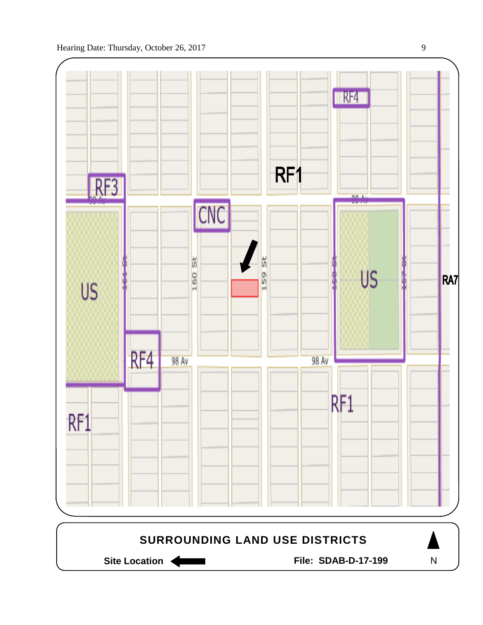

Site Location **General Execution State Location** File: SDAB-D-17-199

N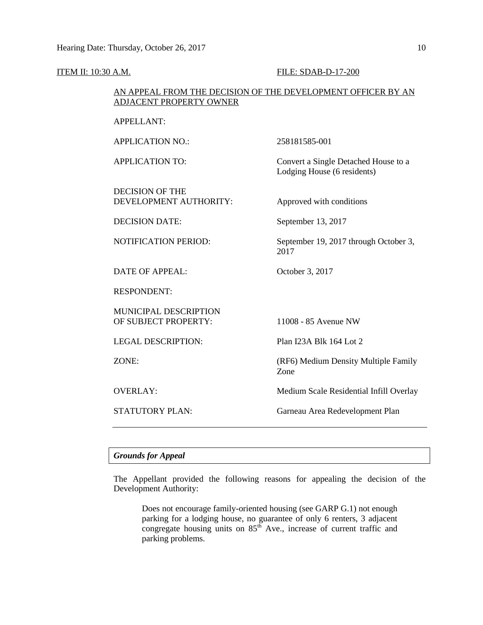**ITEM II: 10:30 A.M. FILE: SDAB-D-17-200** 

| AN APPEAL FROM THE DECISION OF THE DEVELOPMENT OFFICER BY AN<br><b>ADJACENT PROPERTY OWNER</b> |                                                                     |  |
|------------------------------------------------------------------------------------------------|---------------------------------------------------------------------|--|
| <b>APPELLANT:</b>                                                                              |                                                                     |  |
| <b>APPLICATION NO.:</b>                                                                        | 258181585-001                                                       |  |
| <b>APPLICATION TO:</b>                                                                         | Convert a Single Detached House to a<br>Lodging House (6 residents) |  |
| <b>DECISION OF THE</b><br>DEVELOPMENT AUTHORITY:                                               | Approved with conditions                                            |  |
| <b>DECISION DATE:</b>                                                                          | September 13, 2017                                                  |  |
| <b>NOTIFICATION PERIOD:</b>                                                                    | September 19, 2017 through October 3,<br>2017                       |  |
| <b>DATE OF APPEAL:</b>                                                                         | October 3, 2017                                                     |  |
| <b>RESPONDENT:</b>                                                                             |                                                                     |  |
| MUNICIPAL DESCRIPTION<br>OF SUBJECT PROPERTY:                                                  | 11008 - 85 Avenue NW                                                |  |
| <b>LEGAL DESCRIPTION:</b>                                                                      | Plan I23A Blk 164 Lot 2                                             |  |
| ZONE:                                                                                          | (RF6) Medium Density Multiple Family<br>Zone                        |  |
| <b>OVERLAY:</b>                                                                                | Medium Scale Residential Infill Overlay                             |  |
| <b>STATUTORY PLAN:</b>                                                                         | Garneau Area Redevelopment Plan                                     |  |

## *Grounds for Appeal*

The Appellant provided the following reasons for appealing the decision of the Development Authority:

Does not encourage family-oriented housing (see GARP G.1) not enough parking for a lodging house, no guarantee of only 6 renters, 3 adjacent congregate housing units on  $85<sup>th</sup>$  Ave., increase of current traffic and parking problems.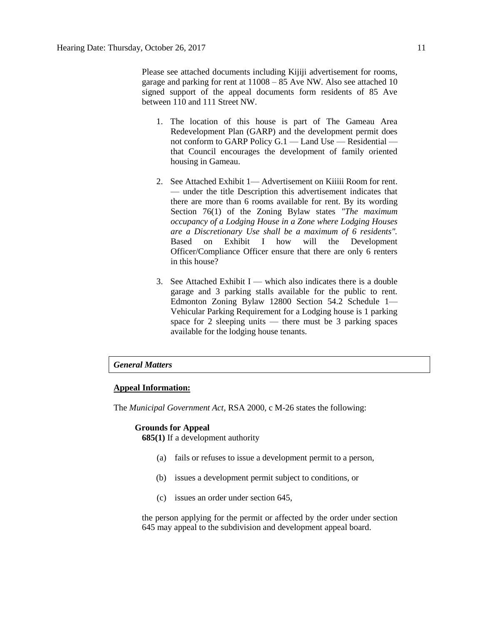Please see attached documents including Kijiji advertisement for rooms, garage and parking for rent at 11008 – 85 Ave NW. Also see attached 10 signed support of the appeal documents form residents of 85 Ave between 110 and 111 Street NW.

- 1. The location of this house is part of The Gameau Area Redevelopment Plan (GARP) and the development permit does not conform to GARP Policy G.1 — Land Use — Residential that Council encourages the development of family oriented housing in Gameau.
- 2. See Attached Exhibit 1— Advertisement on Kiiiii Room for rent. — under the title Description this advertisement indicates that there are more than 6 rooms available for rent. By its wording Section 76(1) of the Zoning Bylaw states *"The maximum occupancy of a Lodging House in a Zone where Lodging Houses are a Discretionary Use shall be a maximum of 6 residents".*  Based on Exhibit I how will the Development Officer/Compliance Officer ensure that there are only 6 renters in this house?
- 3. See Attached Exhibit I which also indicates there is a double garage and 3 parking stalls available for the public to rent. Edmonton Zoning Bylaw 12800 Section 54.2 Schedule 1— Vehicular Parking Requirement for a Lodging house is 1 parking space for 2 sleeping units  $-$  there must be 3 parking spaces available for the lodging house tenants.

### *General Matters*

### **Appeal Information:**

The *Municipal Government Act*, RSA 2000, c M-26 states the following:

### **Grounds for Appeal**

**685(1)** If a development authority

- (a) fails or refuses to issue a development permit to a person,
- (b) issues a development permit subject to conditions, or
- (c) issues an order under section 645,

the person applying for the permit or affected by the order under section 645 may appeal to the subdivision and development appeal board.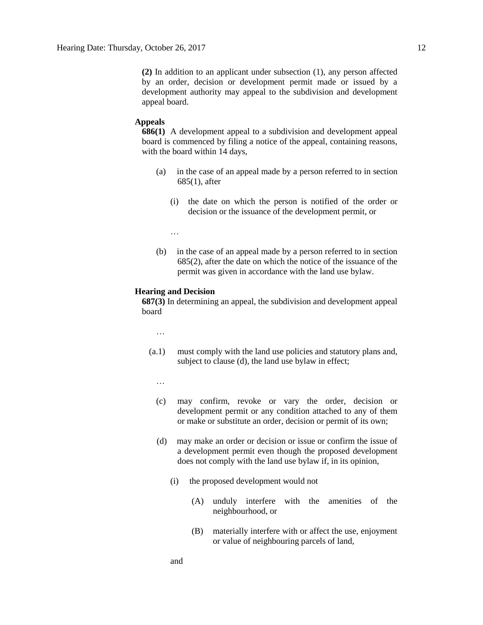**(2)** In addition to an applicant under subsection (1), any person affected by an order, decision or development permit made or issued by a development authority may appeal to the subdivision and development appeal board.

### **Appeals**

**686(1)** A development appeal to a subdivision and development appeal board is commenced by filing a notice of the appeal, containing reasons, with the board within 14 days,

- (a) in the case of an appeal made by a person referred to in section 685(1), after
	- (i) the date on which the person is notified of the order or decision or the issuance of the development permit, or
	- …
- (b) in the case of an appeal made by a person referred to in section 685(2), after the date on which the notice of the issuance of the permit was given in accordance with the land use bylaw.

### **Hearing and Decision**

**687(3)** In determining an appeal, the subdivision and development appeal board

- …
- (a.1) must comply with the land use policies and statutory plans and, subject to clause (d), the land use bylaw in effect;
	- …
	- (c) may confirm, revoke or vary the order, decision or development permit or any condition attached to any of them or make or substitute an order, decision or permit of its own;
	- (d) may make an order or decision or issue or confirm the issue of a development permit even though the proposed development does not comply with the land use bylaw if, in its opinion,
		- (i) the proposed development would not
			- (A) unduly interfere with the amenities of the neighbourhood, or
			- (B) materially interfere with or affect the use, enjoyment or value of neighbouring parcels of land,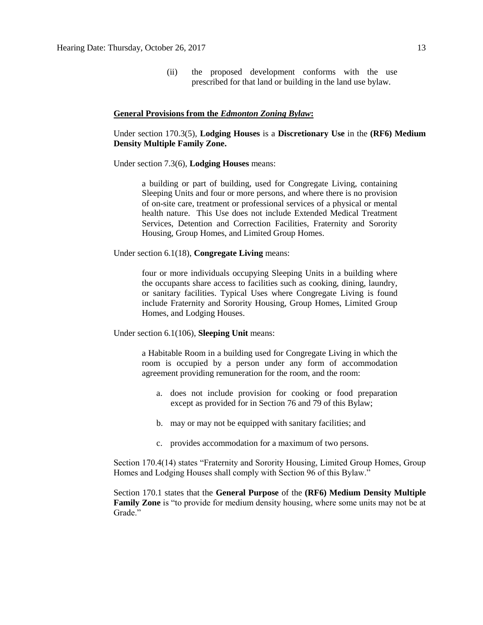(ii) the proposed development conforms with the use prescribed for that land or building in the land use bylaw.

### **General Provisions from the** *Edmonton Zoning Bylaw***:**

Under section 170.3(5), **Lodging Houses** is a **Discretionary Use** in the **(RF6) Medium Density Multiple Family Zone.**

Under section 7.3(6), **Lodging Houses** means:

a building or part of building, used for Congregate Living, containing Sleeping Units and four or more persons, and where there is no provision of on-site care, treatment or professional services of a physical or mental health nature. This Use does not include Extended Medical Treatment Services, Detention and Correction Facilities, Fraternity and Sorority Housing, Group Homes, and Limited Group Homes.

Under section 6.1(18), **Congregate Living** means:

four or more individuals occupying Sleeping Units in a building where the occupants share access to facilities such as cooking, dining, laundry, or sanitary facilities. Typical Uses where Congregate Living is found include Fraternity and Sorority Housing, Group Homes, Limited Group Homes, and Lodging Houses.

Under section 6.1(106), **Sleeping Unit** means:

a Habitable Room in a building used for Congregate Living in which the room is occupied by a person under any form of accommodation agreement providing remuneration for the room, and the room:

- a. does not include provision for cooking or food preparation except as provided for in Section 76 and 79 of this Bylaw;
- b. may or may not be equipped with sanitary facilities; and
- c. provides accommodation for a maximum of two persons.

Section 170.4(14) states "Fraternity and Sorority Housing, Limited Group Homes, Group Homes and Lodging Houses shall comply with Section 96 of this Bylaw."

Section 170.1 states that the **General Purpose** of the **(RF6) Medium Density Multiple Family Zone** is "to provide for medium density housing, where some units may not be at Grade."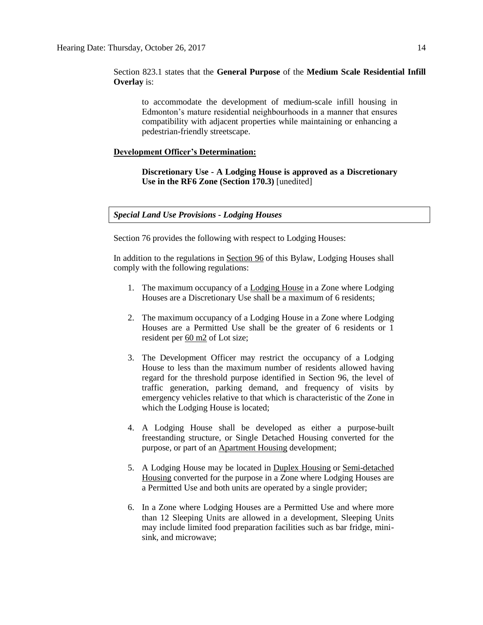Section 823.1 states that the **General Purpose** of the **Medium Scale Residential Infill Overlay** is:

to accommodate the development of medium-scale infill housing in Edmonton's mature residential neighbourhoods in a manner that ensures compatibility with adjacent properties while maintaining or enhancing a pedestrian-friendly streetscape.

### **Development Officer's Determination:**

**Discretionary Use - A Lodging House is approved as a Discretionary Use in the RF6 Zone (Section 170.3)** [unedited]

### *Special Land Use Provisions - Lodging Houses*

Section 76 provides the following with respect to Lodging Houses:

In addition to the regulations in [Section 96](http://webdocs.edmonton.ca/InfraPlan/zoningbylaw/ZoningBylaw/Part1/Special_Land/96._Fraternity_and_Sorority_Housing,_Limited_Group_Homes,_Group_Homes,_and_Lodging_Houses_Thresholds.htm) of this Bylaw, Lodging Houses shall comply with the following regulations:

- 1. The maximum occupancy of a [Lodging House](javascript:void(0);) in a Zone where Lodging Houses are a Discretionary Use shall be a maximum of 6 residents;
- 2. The maximum occupancy of a Lodging House in a Zone where Lodging Houses are a Permitted Use shall be the greater of 6 residents or 1 resident per [60 m2](javascript:void(0);) of Lot size;
- 3. The Development Officer may restrict the occupancy of a Lodging House to less than the maximum number of residents allowed having regard for the threshold purpose identified in Section 96, the level of traffic generation, parking demand, and frequency of visits by emergency vehicles relative to that which is characteristic of the Zone in which the Lodging House is located;
- 4. A Lodging House shall be developed as either a purpose-built freestanding structure, or Single Detached Housing converted for the purpose, or part of an [Apartment Housing](javascript:void(0);) development;
- 5. A Lodging House may be located in [Duplex Housing](javascript:void(0);) or [Semi-detached](javascript:void(0);)  [Housing](javascript:void(0);) converted for the purpose in a Zone where Lodging Houses are a Permitted Use and both units are operated by a single provider;
- 6. In a Zone where Lodging Houses are a Permitted Use and where more than 12 Sleeping Units are allowed in a development, Sleeping Units may include limited food preparation facilities such as bar fridge, minisink, and microwave;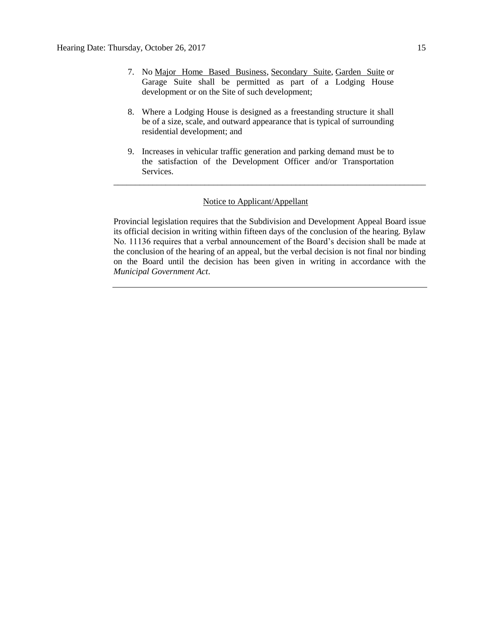- 7. No [Major Home Based Business,](javascript:void(0);) [Secondary Suite,](javascript:void(0);) [Garden Suite](javascript:void(0);) or Garage Suite shall be permitted as part of a Lodging House development or on the Site of such development;
- 8. Where a Lodging House is designed as a freestanding structure it shall be of a size, scale, and outward appearance that is typical of surrounding residential development; and
- 9. Increases in vehicular traffic generation and parking demand must be to the satisfaction of the Development Officer and/or Transportation Services.

\_\_\_\_\_\_\_\_\_\_\_\_\_\_\_\_\_\_\_\_\_\_\_\_\_\_\_\_\_\_\_\_\_\_\_\_\_\_\_\_\_\_\_\_\_\_\_\_\_\_\_\_\_\_\_\_\_\_\_\_\_\_\_\_\_\_\_\_\_\_\_\_

### Notice to Applicant/Appellant

Provincial legislation requires that the Subdivision and Development Appeal Board issue its official decision in writing within fifteen days of the conclusion of the hearing. Bylaw No. 11136 requires that a verbal announcement of the Board's decision shall be made at the conclusion of the hearing of an appeal, but the verbal decision is not final nor binding on the Board until the decision has been given in writing in accordance with the *Municipal Government Act*.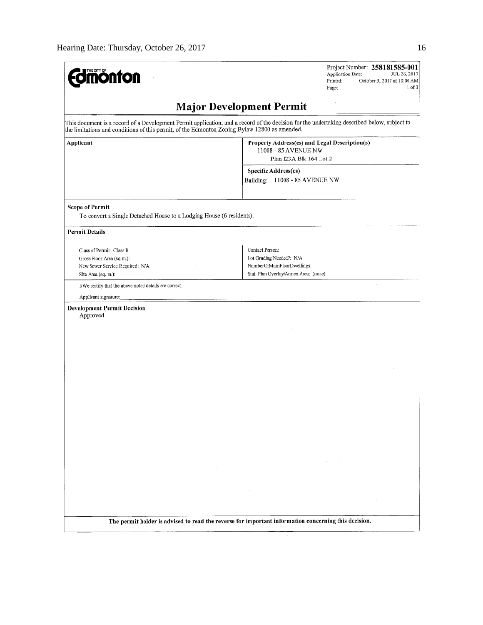| <b>mónfon</b>                                                                                                                                                                                                                                | Project Number: 258181585-001<br>Application Date:<br>JUL 26, 2017<br>Printed:<br>October 3, 2017 at 10:00 AM<br>1 of 3<br>Page: |
|----------------------------------------------------------------------------------------------------------------------------------------------------------------------------------------------------------------------------------------------|----------------------------------------------------------------------------------------------------------------------------------|
|                                                                                                                                                                                                                                              | <b>Major Development Permit</b>                                                                                                  |
| This document is a record of a Development Permit application, and a record of the decision for the undertaking described below, subject to<br>the limitations and conditions of this permit, of the Edmonton Zoning Bylaw 12800 as amended. |                                                                                                                                  |
| Applicant                                                                                                                                                                                                                                    | Property Address(es) and Legal Description(s)<br>11008 - 85 AVENUE NW<br>Plan I23A Blk 164 Lot 2                                 |
|                                                                                                                                                                                                                                              | Specific Address(es)<br>Building: 11008 - 85 AVENUE NW                                                                           |
| <b>Scope of Permit</b><br>To convert a Single Detached House to a Lodging House (6 residents).                                                                                                                                               |                                                                                                                                  |
| <b>Permit Details</b>                                                                                                                                                                                                                        |                                                                                                                                  |
| Class of Permit: Class B<br>Gross Floor Area (sq.m.):<br>New Sewer Service Required: N/A<br>Site Area (sq. m.):                                                                                                                              | Contact Person:<br>Lot Grading Needed?: N/A<br>NumberOfMainFloorDwellings:<br>Stat. Plan Overlay/Annex Area: (nonc)              |
| I/We certify that the above noted details are correct.                                                                                                                                                                                       |                                                                                                                                  |
| <b>Development Permit Decision</b><br>Approved                                                                                                                                                                                               |                                                                                                                                  |
|                                                                                                                                                                                                                                              |                                                                                                                                  |
|                                                                                                                                                                                                                                              | $\sim$<br>$\sim 10^{-11}$                                                                                                        |
| The permit holder is advised to read the reverse for important information concerning this decision.                                                                                                                                         |                                                                                                                                  |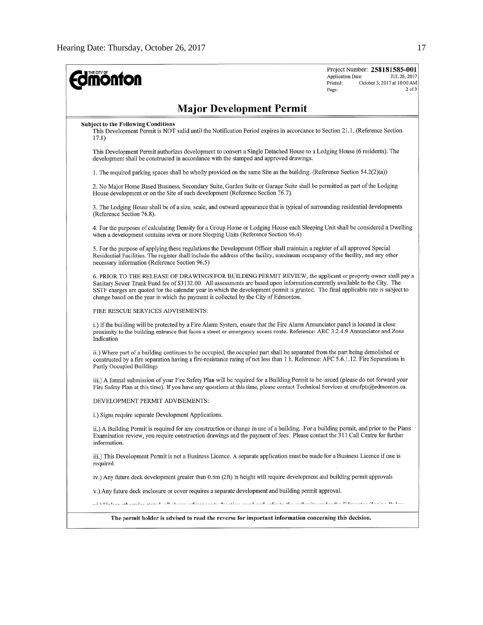| <b>Jmönton</b>                                                                                                                                                                                                                                                                                                                                                                                                                                                         | Project Number: 258181585-001<br><b>Application Date:</b><br>JUL 26, 2017<br>Printed:<br>October 3, 2017 at 10:00 AM<br>$2$ of $3$<br>Page: |
|------------------------------------------------------------------------------------------------------------------------------------------------------------------------------------------------------------------------------------------------------------------------------------------------------------------------------------------------------------------------------------------------------------------------------------------------------------------------|---------------------------------------------------------------------------------------------------------------------------------------------|
| <b>Major Development Permit</b>                                                                                                                                                                                                                                                                                                                                                                                                                                        |                                                                                                                                             |
| <b>Subject to the Following Conditions</b><br>This Development Permit is NOT valid until the Notification Period expires in accordance to Section 21.1. (Reference Section<br>17.1)                                                                                                                                                                                                                                                                                    |                                                                                                                                             |
| This Development Permit authorizes development to convert a Single Detached House to a Lodging House (6 residents). The<br>development shall be constructed in accordance with the stamped and approved drawings.                                                                                                                                                                                                                                                      |                                                                                                                                             |
| 1. The required parking spaces shall be wholly provided on the same Site as the building. (Reference Section 54.2(2)(a))                                                                                                                                                                                                                                                                                                                                               |                                                                                                                                             |
| 2. No Major Home Based Business, Secondary Suite, Garden Suite or Garage Suite shall be permitted as part of the Lodging<br>House development or on the Site of such development (Reference Section 76.7).                                                                                                                                                                                                                                                             |                                                                                                                                             |
| 3. The Lodging House shall be of a size, scale, and outward appearance that is typical of surrounding residential developments<br>(Reference Section 76.8).                                                                                                                                                                                                                                                                                                            |                                                                                                                                             |
| 4. For the purposes of calculating Density for a Group Home or Lodging House each Sleeping Unit shall be considered a Dwelling<br>when a development contains seven or more Sleeping Units (Reference Section 96.4)                                                                                                                                                                                                                                                    |                                                                                                                                             |
| 5. For the purpose of applying these regulations the Development Officer shall maintain a register of all approved Special<br>Residential Facilities. The register shall include the address of the facility, maximum occupancy of the facility, and any other<br>necessary information (Reference Section 96.5)                                                                                                                                                       |                                                                                                                                             |
| 6. PRIOR TO THE RELEASE OF DRAWINGS FOR BUILDING PERMIT REVIEW, the applicant or property owner shall pay a<br>Sanitary Sewer Trunk Fund fee of \$3132.00. All assessments are based upon information currently available to the City. The<br>SSTF charges are quoted for the calendar year in which the development permit is granted. The final applicable rate is subject to<br>change based on the year in which the payment is collected by the City of Edmonton. |                                                                                                                                             |
| FIRE RESCUE SERVICES ADVISEMENTS:                                                                                                                                                                                                                                                                                                                                                                                                                                      |                                                                                                                                             |
| i.) If the building will be protected by a Fire Alarm System, ensure that the Fire Alarm Annunciator panel is located in close<br>proximity to the building entrance that faces a street or emergency access route. Reference: ABC 3.2.4.9 Annunciator and Zone<br>Indication                                                                                                                                                                                          |                                                                                                                                             |
| ii.) Where part of a building continues to be occupied, the occupied part shall be separated from the part being demolished or<br>constructed by a fire separation having a fire-resistance rating of not less than 1 h. Reference: AFC 5.6.1.12. Fire Separations in<br>Partly Occupied Buildings                                                                                                                                                                     |                                                                                                                                             |
| iii.) A formal submission of your Fire Safety Plan will be required for a Building Permit to be issued (please do not forward your<br>Fire Safety Plan at this time). If you have any questions at this time, please contact Technical Services at cmsfpts@edmonton.ca.                                                                                                                                                                                                |                                                                                                                                             |
| DEVELOPMENT PERMIT ADVISEMENTS:                                                                                                                                                                                                                                                                                                                                                                                                                                        |                                                                                                                                             |
| i.) Signs require separate Development Applications.                                                                                                                                                                                                                                                                                                                                                                                                                   |                                                                                                                                             |
| ii.) A Building Permit is required for any construction or change in use of a building. For a building permit, and prior to the Plans<br>Examination review, you require construction drawings and the payment of fees. Please contact the 311 Call Centre for further<br>information.                                                                                                                                                                                 |                                                                                                                                             |
| iii.) This Development Permit is not a Business Licence. A separate application must be made for a Business Licence if one is<br>required.                                                                                                                                                                                                                                                                                                                             |                                                                                                                                             |
| iv.) Any future deck development greater than 0.6m (2ft) in height will require development and building permit approvals                                                                                                                                                                                                                                                                                                                                              |                                                                                                                                             |
| v.) Any future deck enclosure or cover requires a separate development and building permit approval.                                                                                                                                                                                                                                                                                                                                                                   |                                                                                                                                             |
|                                                                                                                                                                                                                                                                                                                                                                                                                                                                        | : YYLaban addaniyda yogan - H-b-ccc matematica birinten minib matematica ale anddaniya dag daga Diliyayogan Zaaban Dicham                   |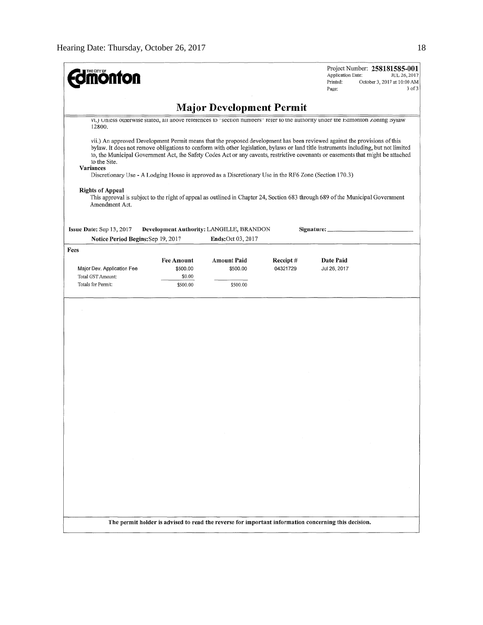| <b>nonton</b>                                                                                                                       |                                                                                                                                |                                                                       |          | Project Number: 258181585-001<br>Application Date:<br>JUL 26, 2017<br>Printed:<br>October 3, 2017 at 10:00 AM<br>3 of 3<br>Page:                                                                                                                                                                                                                                                                      |  |  |
|-------------------------------------------------------------------------------------------------------------------------------------|--------------------------------------------------------------------------------------------------------------------------------|-----------------------------------------------------------------------|----------|-------------------------------------------------------------------------------------------------------------------------------------------------------------------------------------------------------------------------------------------------------------------------------------------------------------------------------------------------------------------------------------------------------|--|--|
|                                                                                                                                     | <b>Major Development Permit</b>                                                                                                |                                                                       |          |                                                                                                                                                                                                                                                                                                                                                                                                       |  |  |
| 12800.                                                                                                                              | VI.) Unless otherwise stated, all above references to "section numbers" refer to the authority under the Edmonton Zoning Bylaw |                                                                       |          |                                                                                                                                                                                                                                                                                                                                                                                                       |  |  |
| to the Site.<br>Variances<br>Discretionary Use - A Lodging House is approved as a Discretionary Use in the RF6 Zone (Section 170.3) |                                                                                                                                |                                                                       |          | vii.) An approved Development Permit means that the proposed development has been reviewed against the provisions of this<br>bylaw. It does not remove obligations to conform with other legislation, bylaws or land title instruments including, but not limited<br>to, the Municipal Government Act, the Safety Codes Act or any caveats, restrictive covenants or easements that might be attached |  |  |
| <b>Rights of Appeal</b><br>Amendment Act.                                                                                           |                                                                                                                                |                                                                       |          | This approval is subject to the right of appeal as outlined in Chapter 24, Section 683 through 689 of the Municipal Government                                                                                                                                                                                                                                                                        |  |  |
| Issue Date: Sep 13, 2017<br>Notice Period Begins: Sep 19, 2017                                                                      |                                                                                                                                | Development Authority: LANGILLE, BRANDON<br><b>Ends:</b> Oct 03, 2017 |          | Signature: _                                                                                                                                                                                                                                                                                                                                                                                          |  |  |
| Fees                                                                                                                                |                                                                                                                                |                                                                       |          |                                                                                                                                                                                                                                                                                                                                                                                                       |  |  |
|                                                                                                                                     | <b>Fee Amount</b>                                                                                                              | <b>Amount Paid</b>                                                    | Receipt# | Date Paid                                                                                                                                                                                                                                                                                                                                                                                             |  |  |
| Major Dev. Application Fee                                                                                                          | \$500.00                                                                                                                       | \$500.00                                                              | 04321729 | Jul 26, 2017                                                                                                                                                                                                                                                                                                                                                                                          |  |  |
| Total GST Amount:<br>Totals for Permit:                                                                                             | \$0.00<br>\$500.00                                                                                                             | \$500.00                                                              |          |                                                                                                                                                                                                                                                                                                                                                                                                       |  |  |
|                                                                                                                                     |                                                                                                                                |                                                                       |          |                                                                                                                                                                                                                                                                                                                                                                                                       |  |  |
|                                                                                                                                     |                                                                                                                                |                                                                       |          |                                                                                                                                                                                                                                                                                                                                                                                                       |  |  |
|                                                                                                                                     |                                                                                                                                |                                                                       |          |                                                                                                                                                                                                                                                                                                                                                                                                       |  |  |
|                                                                                                                                     |                                                                                                                                |                                                                       |          |                                                                                                                                                                                                                                                                                                                                                                                                       |  |  |
|                                                                                                                                     |                                                                                                                                |                                                                       |          |                                                                                                                                                                                                                                                                                                                                                                                                       |  |  |
|                                                                                                                                     |                                                                                                                                |                                                                       |          |                                                                                                                                                                                                                                                                                                                                                                                                       |  |  |
|                                                                                                                                     |                                                                                                                                |                                                                       |          |                                                                                                                                                                                                                                                                                                                                                                                                       |  |  |
|                                                                                                                                     |                                                                                                                                |                                                                       |          | The permit holder is advised to read the reverse for important information concerning this decision.                                                                                                                                                                                                                                                                                                  |  |  |
|                                                                                                                                     |                                                                                                                                |                                                                       |          |                                                                                                                                                                                                                                                                                                                                                                                                       |  |  |